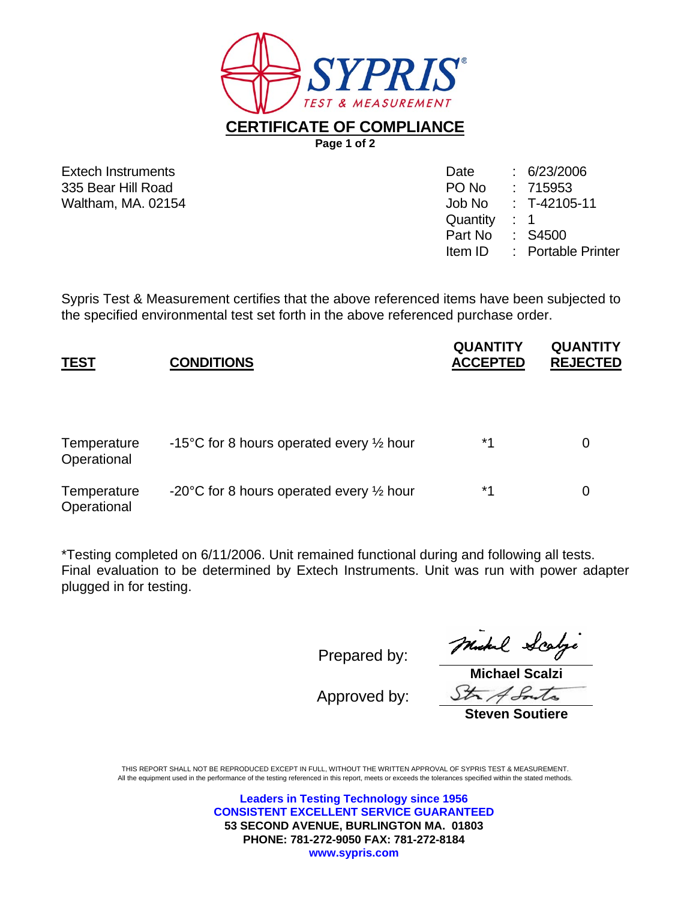

**CERTIFICATE OF COMPLIANCE**

**Page 1 of 2** 

Extech Instruments 335 Bear Hill Road Waltham, MA, 02154

| Date     | 6/23/2006               |
|----------|-------------------------|
| PO No    | : 715953                |
| Job No   | $: T-42105-11$          |
| Quantity | 1                       |
| Part No  | S4500                   |
| Item ID  | <b>Portable Printer</b> |
|          |                         |

Sypris Test & Measurement certifies that the above referenced items have been subjected to the specified environmental test set forth in the above referenced purchase order.

| <b>TEST</b>                | <b>CONDITIONS</b>                                             | <b>QUANTITY</b><br><b>ACCEPTED</b> | <b>QUANTITY</b><br><b>REJECTED</b> |
|----------------------------|---------------------------------------------------------------|------------------------------------|------------------------------------|
| Temperature<br>Operational | -15°C for 8 hours operated every $\frac{1}{2}$ hour           | *1                                 | 0                                  |
| Temperature<br>Operational | -20 $\degree$ C for 8 hours operated every $\frac{1}{2}$ hour | *1                                 | 0                                  |

\*Testing completed on 6/11/2006. Unit remained functional during and following all tests. Final evaluation to be determined by Extech Instruments. Unit was run with power adapter plugged in for testing.

Prepared by:

Approved by:

Michel Scalge

**Michael Scalzi**  Str A Souto

**Steven Soutiere** 

THIS REPORT SHALL NOT BE REPRODUCED EXCEPT IN FULL, WITHOUT THE WRITTEN APPROVAL OF SYPRIS TEST & MEASUREMENT. All the equipment used in the performance of the testing referenced in this report, meets or exceeds the tolerances specified within the stated methods.

> **Leaders in Testing Technology since 1956 CONSISTENT EXCELLENT SERVICE GUARANTEED 53 SECOND AVENUE, BURLINGTON MA. 01803 PHONE: 781-272-9050 FAX: 781-272-8184 www.sypris.com**